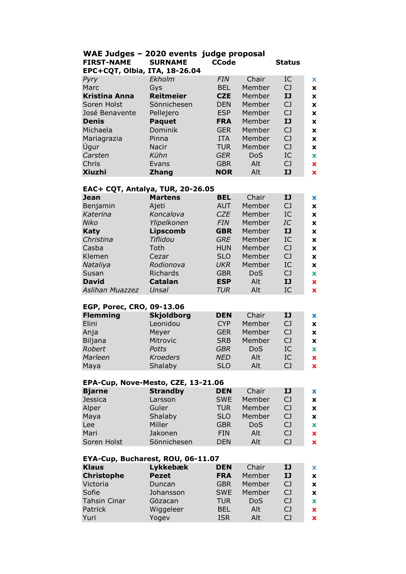| WAE Judges - 2020 events judge proposal<br><b>SURNAME</b><br><b>CCode</b><br><b>FIRST-NAME</b><br><b>Status</b><br><b>EPC+CQT, Olbia, ITA, 18-26.04</b> |                  |            |        |                |             |  |
|---------------------------------------------------------------------------------------------------------------------------------------------------------|------------------|------------|--------|----------------|-------------|--|
| Pyry                                                                                                                                                    | Ekholm           | <b>FIN</b> | Chair  | IC             | $\mathbf x$ |  |
| Marc                                                                                                                                                    | Gys              | <b>BEL</b> | Member | C <sub>J</sub> | X           |  |
| Kristina Anna                                                                                                                                           | <b>Reitmeier</b> | <b>CZE</b> | Member | IJ             | X           |  |
| Soren Holst                                                                                                                                             | Sönnichesen      | <b>DEN</b> | Member | C <sub>J</sub> | X           |  |
| José Benavente                                                                                                                                          | Pellejero        | <b>ESP</b> | Member | C <sub>J</sub> | X           |  |
| <b>Denis</b>                                                                                                                                            | <b>Paquet</b>    | <b>FRA</b> | Member | IJ             | X           |  |
| Michaela                                                                                                                                                | Dominik          | <b>GER</b> | Member | C <sub>J</sub> | X           |  |
| Mariagrazia                                                                                                                                             | Pinna            | <b>ITA</b> | Member | C <sub>1</sub> | X           |  |
| Ügur                                                                                                                                                    | Nacir            | <b>TUR</b> | Member | C <sub>J</sub> | X           |  |
| Carsten                                                                                                                                                 | Kühn             | <b>GER</b> | DoS    | IC             | $\mathbf x$ |  |
| Chris                                                                                                                                                   | Evans            | <b>GBR</b> | Alt    | C <sub>1</sub> | $\mathbf x$ |  |
| <b>Xiuzhi</b>                                                                                                                                           | <b>Zhang</b>     | <b>NOR</b> | Alt    | IJ             | $\mathbf x$ |  |

**Xiuzhi Zhang NOR** Alt **IJ x**

## **EAC+ CQT, Antalya, TUR, 20-26.05**

| <b>Jean</b>               | <b>Martens</b>    | <b>BEL</b> | Chair      | IJ             | $\mathbf x$  |
|---------------------------|-------------------|------------|------------|----------------|--------------|
| Benjamin                  | Ajeti             | <b>AUT</b> | Member     | C <sub>J</sub> | $\mathbf x$  |
| Katerina                  | Koncalova         | CZE        | Member     | IC             | $\mathbf x$  |
| Niko                      | Ylipelkonen       | <b>FIN</b> | Member     | IC             | $\mathbf x$  |
| Katy                      | <b>Lipscomb</b>   | <b>GBR</b> | Member     | IJ             | X            |
| Christina                 | Tiflidou          | <b>GRE</b> | Member     | IC             | $\mathbf x$  |
| Casba                     | Toth              | <b>HUN</b> | Member     | C <sub>J</sub> | $\mathbf x$  |
| Klemen                    | Cezar             | <b>SLO</b> | Member     | C <sub>J</sub> | $\mathbf x$  |
| Nataliya                  | Rodionova         | <b>UKR</b> | Member     | IC             | $\mathbf x$  |
| Susan                     | Richards          | <b>GBR</b> | <b>DoS</b> | CJ             | $\mathbf x$  |
| <b>David</b>              | Catalan           | <b>ESP</b> | Alt        | IJ             | $\mathbf x$  |
| Aslihan Muazzez           | Unsal             | TUR        | Alt        | IC             | $\mathbf x$  |
|                           |                   |            |            |                |              |
| EGP, Porec, CRO, 09-13.06 |                   |            |            |                |              |
| <b>Flemming</b>           | <b>Skjoldborg</b> | <b>DEN</b> | Chair      | IJ             | $\mathbf x$  |
| Elini                     | Leonidou          | <b>CYP</b> | Member     | C <sub>J</sub> | X            |
| $A$ nia                   | $M$ $\sim$        | CED        | Mombor     | $\cap$ 1       | $\mathbf{v}$ |

| <b>LIIII</b> | Levilluvu       | <b>CIP</b> | <u>MENDEL</u> | w  | ж           |
|--------------|-----------------|------------|---------------|----|-------------|
| Anja         | Meyer           | <b>GER</b> | Member        | CJ | X           |
| Biljana      | Mitrovic        | <b>SRB</b> | Member        | CJ | X           |
| Robert       | Potts           | GBR        | <b>DoS</b>    | IC | $\mathbf x$ |
| Marleen      | <b>Kroeders</b> | <b>NED</b> | Alt           | IC | $\mathbf x$ |
| Maya         | Shalaby         | <b>SLO</b> | Alt           | CJ | $\mathbf x$ |

| EPA-Cup, Nove-Mesto, CZE, 13-21.06 |                          |                          |                 |                |                           |
|------------------------------------|--------------------------|--------------------------|-----------------|----------------|---------------------------|
| <b>Bjarne</b>                      | <b>Strandby</b>          | <b>DEN</b>               | Chair           | IJ             | $\mathbf x$               |
| Jessica                            | Larsson                  | <b>SWE</b>               | Member          | C <sub>J</sub> | $\boldsymbol{\mathsf{x}}$ |
| Alper                              | Guler                    | <b>TUR</b>               | Member          | CJ             | $\boldsymbol{\mathsf{x}}$ |
| Maya                               | Shalaby                  | SLO                      | Member          | C <sub>J</sub> | $\boldsymbol{\mathsf{x}}$ |
| Lee                                | Miller                   | <b>GBR</b>               | <b>DoS</b>      | CJ             | $\mathbf x$               |
| Mari                               | Jakonen                  | <b>FIN</b>               | Alt             | CJ             | $\mathbf x$               |
| Soren Holst                        | Sönnichesen              | <b>DEN</b>               | Alt             | C <sub>J</sub> | $\mathbf x$               |
|                                    |                          |                          |                 |                |                           |
| EYA-Cup, Bucharest, ROU, 06-11.07  |                          |                          |                 |                |                           |
| <b>Klaus</b><br><b>Christophe</b>  | Lykkebæk<br><b>Pezet</b> | <b>DEN</b><br><b>FRA</b> | Chair<br>Member | IJ<br>IJ       | x<br>X                    |

| niaus             | <b>Lynnebœn</b> | ◡੶∟╷┓      | Спап       |                | $\overline{\phantom{a}}$  |
|-------------------|-----------------|------------|------------|----------------|---------------------------|
| <b>Christophe</b> | <b>Pezet</b>    | <b>FRA</b> | Member     | IJ             | X                         |
| Victoria          | Duncan          | <b>GBR</b> | Member     | CJ             | X                         |
| Sofie             | Johansson       | <b>SWE</b> | Member     | C <sub>1</sub> | $\boldsymbol{\mathsf{x}}$ |
| Tahsin Cinar      | Gözacan         | <b>TUR</b> | <b>DoS</b> | CJ             | $\mathbf x$               |
| Patrick           | Wiggeleer       | <b>BEL</b> | Alt        | CJ             | $\boldsymbol{\mathsf{x}}$ |
| Yuri              | Yogev           | <b>ISR</b> | Alt        | CJ             | $\mathbf x$               |